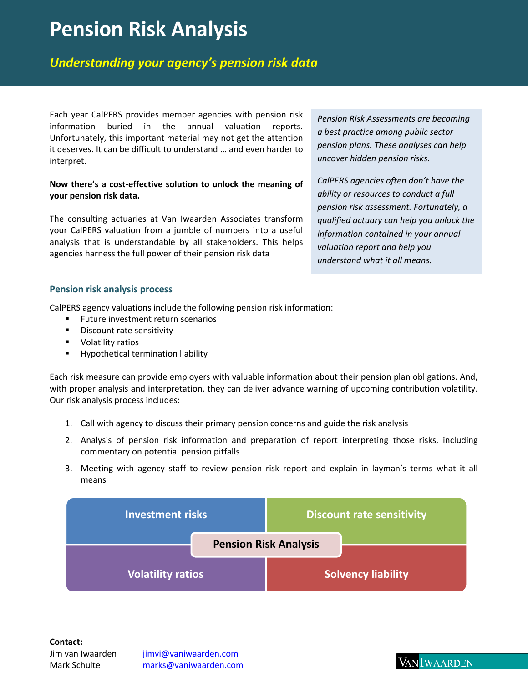# **Pension Risk Analysis**

# *Understanding your agency's pension risk data*

Each year CalPERS provides member agencies with pension risk information buried in the annual valuation reports. Unfortunately, this important material may not get the attention it deserves. It can be difficult to understand … and even harder to interpret.

#### **Now there's a cost‐effective solution to unlock the meaning of your pension risk data.**

The consulting actuaries at Van Iwaarden Associates transform your CalPERS valuation from a jumble of numbers into a useful analysis that is understandable by all stakeholders. This helps agencies harness the full power of their pension risk data

*Pension Risk Assessments are becoming a best practice among public sector pension plans. These analyses can help uncover hidden pension risks.* 

*CalPERS agencies often don't have the ability or resources to conduct a full pension risk assessment. Fortunately, a qualified actuary can help you unlock the information contained in your annual valuation report and help you understand what it all means.* 

### **Pension risk analysis process**

CalPERS agency valuations include the following pension risk information:

- **Future investment return scenarios**
- **Discount rate sensitivity**
- **v** Volatility ratios
- **Hypothetical termination liability**

Each risk measure can provide employers with valuable information about their pension plan obligations. And, with proper analysis and interpretation, they can deliver advance warning of upcoming contribution volatility. Our risk analysis process includes:

- 1. Call with agency to discuss their primary pension concerns and guide the risk analysis
- 2. Analysis of pension risk information and preparation of report interpreting those risks, including commentary on potential pension pitfalls
- 3. Meeting with agency staff to review pension risk report and explain in layman's terms what it all means